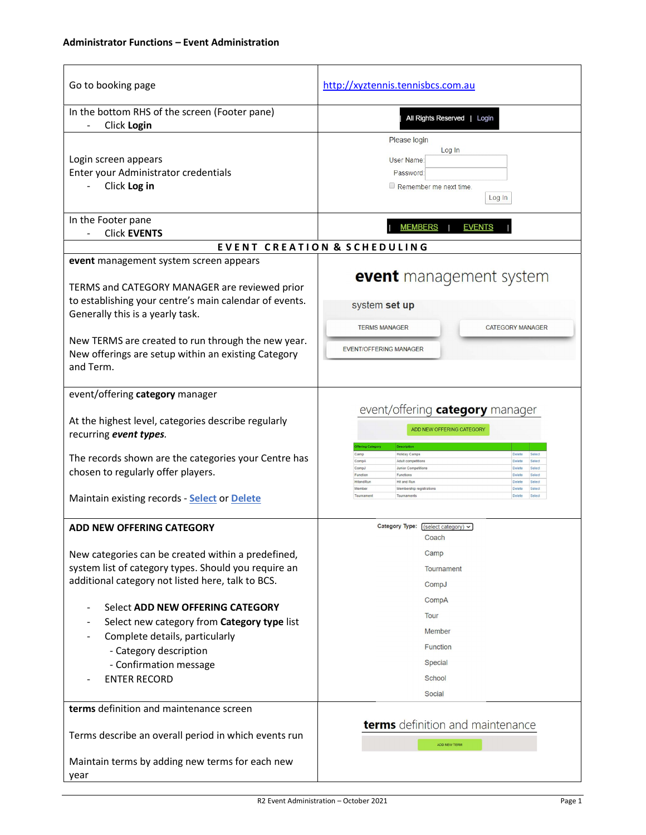## Administrator Functions – Event Administration

| Go to booking page                                                                                                                                                                                                                                                                                                                                                                                                       | http://xyztennis.tennisbcs.com.au                                                                                                                                                                                                                                                                                                                                                                          |
|--------------------------------------------------------------------------------------------------------------------------------------------------------------------------------------------------------------------------------------------------------------------------------------------------------------------------------------------------------------------------------------------------------------------------|------------------------------------------------------------------------------------------------------------------------------------------------------------------------------------------------------------------------------------------------------------------------------------------------------------------------------------------------------------------------------------------------------------|
| In the bottom RHS of the screen (Footer pane)<br>Click Login                                                                                                                                                                                                                                                                                                                                                             | All Rights Reserved   Login                                                                                                                                                                                                                                                                                                                                                                                |
| Login screen appears<br>Enter your Administrator credentials<br>Click Log in<br>In the Footer pane<br><b>Click EVENTS</b><br>event management system screen appears<br>TERMS and CATEGORY MANAGER are reviewed prior<br>to establishing your centre's main calendar of events.                                                                                                                                           | Please login<br>Log In<br>User Name:<br>Password<br>Remember me next time.<br>Log In<br><b>MEMBERS</b><br><b>EVENTS</b><br><b>EVENT CREATION &amp; SCHEDULING</b><br>event management system<br>system set up                                                                                                                                                                                              |
| Generally this is a yearly task.<br>New TERMS are created to run through the new year.<br>New offerings are setup within an existing Category<br>and Term.                                                                                                                                                                                                                                                               | <b>TERMS MANAGER</b><br><b>CATEGORY MANAGER</b><br>EVENT/OFFERING MANAGER                                                                                                                                                                                                                                                                                                                                  |
| event/offering category manager<br>At the highest level, categories describe regularly<br>recurring event types.<br>The records shown are the categories your Centre has<br>chosen to regularly offer players.<br>Maintain existing records - Select or Delete                                                                                                                                                           | event/offering category manager<br>ADD NEW OFFERING CATEGORY<br><b>Holiday Camps</b><br>Camp<br>Adult competitions<br>Comp <sub>A</sub><br><b>Delete</b><br>CompJ<br>Junior Competitions<br>Delete<br>Select<br>Function<br>Functions<br>Delete<br>Select<br>HitandRun<br>Hit and Run<br>Select<br>Membership registrations<br>Delete<br>Select<br>Member<br>Tournament<br>Tournaments<br>Delete<br>Select |
| ADD NEW OFFERING CATEGORY<br>New categories can be created within a predefined,<br>system list of category types. Should you require an<br>additional category not listed here, talk to BCS.<br>Select ADD NEW OFFERING CATEGORY<br>$\overline{\phantom{0}}$<br>Select new category from Category type list<br>Complete details, particularly<br>- Category description<br>- Confirmation message<br><b>ENTER RECORD</b> | Category Type: $(select category)$ $\vee$<br>Coach<br>Camp<br><b>Tournament</b><br>CompJ<br>CompA<br>Tour<br>Member<br><b>Function</b><br><b>Special</b><br>School                                                                                                                                                                                                                                         |
| terms definition and maintenance screen<br>Terms describe an overall period in which events run<br>Maintain terms by adding new terms for each new<br>year                                                                                                                                                                                                                                                               | Social<br>terms definition and maintenance<br><b>ADD NEW TERM</b>                                                                                                                                                                                                                                                                                                                                          |